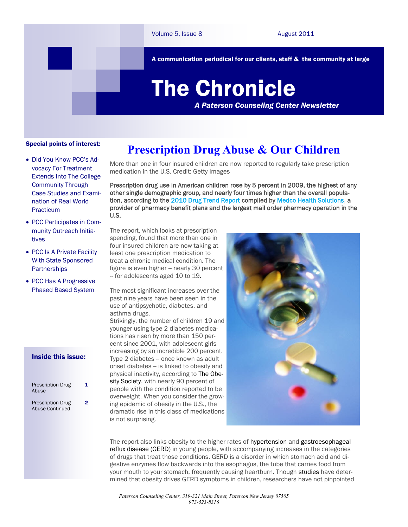A communication periodical for our clients, staff & the community at large

# The Chronicle

*A Paterson Counseling Center Newsletter*

#### Special points of interest:

- Did You Know PCC's Advocacy For Treatment Extends Into The College Community Through Case Studies and Examination of Real World Practicum
- PCC Participates in Community Outreach Initiatives
- PCC Is A Private Facility With State Sponsored **Partnerships**
- PCC Has A Progressive Phased Based System

#### Inside this issue:

| <b>Prescription Drug</b><br>Abuse           |  |
|---------------------------------------------|--|
| <b>Prescription Drug</b><br>Abuse Continued |  |

1

 $\overline{2}$ 

### **Prescription Drug Abuse & Our Children**

More than one in four insured children are now reported to regularly take prescription medication in the U.S. Credit: Getty Images

Prescription drug use in American children rose by 5 percent in 2009, the highest of any other single demographic group, and nearly four times higher than the overall population, according to the [2010 Drug Trend Report c](http://coyneclients.com/medco/drug_trend_2010/links/DT_Executive_Summary.pdf)ompiled by [Medco Health Solutions,](http://www.medcohealth.com/) a provider of pharmacy benefit plans and the largest mail order pharmacy operation in the U.S.

The report, which looks at prescription spending, found that more than one in four insured children are now taking at least one prescription medication to treat a chronic medical condition. The figure is even higher -- nearly 30 percent -- for adolescents aged 10 to 19.

The most significant increases over the past nine years have been seen in the use of antipsychotic, diabetes, and asthma drugs. Strikingly, the number of children 19 and younger using type 2 diabetes medications has risen by more than 150 percent since 2001, with adolescent girls increasing by an incredible 200 percent. Type 2 diabetes -- once known as adult onset diabetes -- is linked to obesity and physical inactivity, according to The Obesity Society, with nearly 90 percent of people with the condition reported to be overweight. When you consider the growing epidemic of obesity in the U.S., the dramatic rise in this class of medications is not surprising.



The report also links obesity to the higher rates of hypertension and gastroesophageal reflux disease (GERD) in young people, with accompanying increases in the categories of drugs that treat those conditions. GERD is a disorder in which stomach acid and digestive enzymes flow backwards into the esophagus, the tube that carries food from your mouth to your stomach, frequently causing heartburn. Though studies have determined that obesity drives GERD symptoms in children, researchers have not pinpointed

*Paterson Counseling Center, 319-321 Main Street, Paterson New Jersey 07505 973-523-8316*